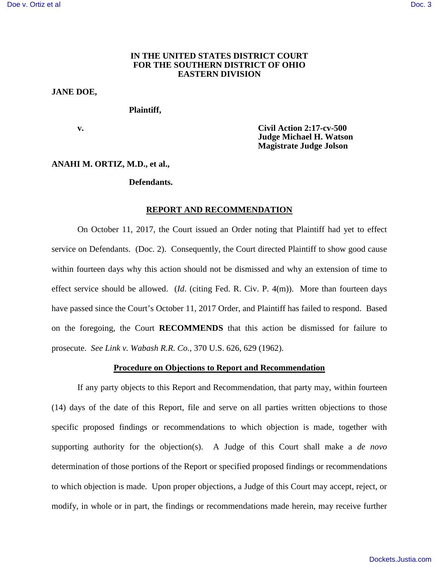# **IN THE UNITED STATES DISTRICT COURT FOR THE SOUTHERN DISTRICT OF OHIO EASTERN DIVISION**

### **JANE DOE,**

## **Plaintiff,**

 **v. Civil Action 2:17-cv-500 Judge Michael H. Watson Magistrate Judge Jolson** 

#### **ANAHI M. ORTIZ, M.D., et al.,**

### **Defendants.**

## **REPORT AND RECOMMENDATION**

On October 11, 2017, the Court issued an Order noting that Plaintiff had yet to effect service on Defendants. (Doc. 2). Consequently, the Court directed Plaintiff to show good cause within fourteen days why this action should not be dismissed and why an extension of time to effect service should be allowed. (*Id*. (citing Fed. R. Civ. P. 4(m)). More than fourteen days have passed since the Court's October 11, 2017 Order, and Plaintiff has failed to respond. Based on the foregoing, the Court **RECOMMENDS** that this action be dismissed for failure to prosecute. *See Link v. Wabash R.R. Co.*, 370 U.S. 626, 629 (1962).

# **Procedure on Objections to Report and Recommendation**

If any party objects to this Report and Recommendation, that party may, within fourteen (14) days of the date of this Report, file and serve on all parties written objections to those specific proposed findings or recommendations to which objection is made, together with supporting authority for the objection(s). A Judge of this Court shall make a *de novo* determination of those portions of the Report or specified proposed findings or recommendations to which objection is made. Upon proper objections, a Judge of this Court may accept, reject, or modify, in whole or in part, the findings or recommendations made herein, may receive further